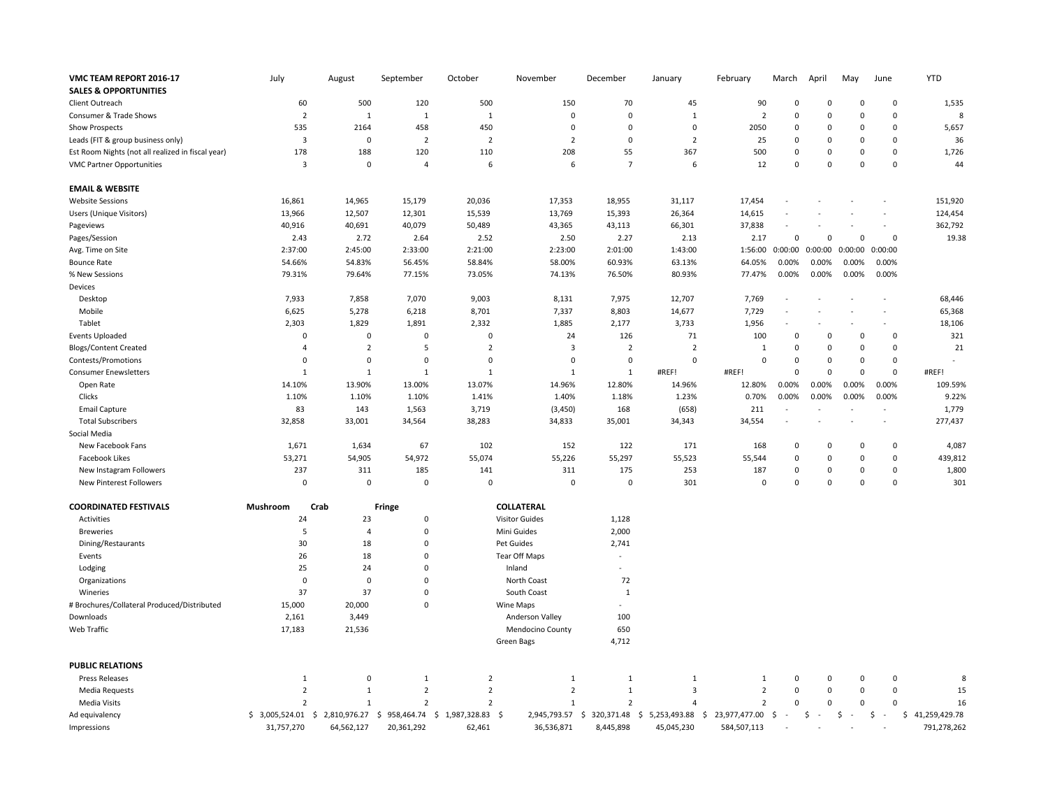| VMC TEAM REPORT 2016-17                           | July           | August                           | September      | October                       | November                | December       | January        | February        | March        | April        | May          | June         | <b>YTD</b>      |
|---------------------------------------------------|----------------|----------------------------------|----------------|-------------------------------|-------------------------|----------------|----------------|-----------------|--------------|--------------|--------------|--------------|-----------------|
| <b>SALES &amp; OPPORTUNITIES</b>                  |                |                                  |                |                               |                         |                |                |                 |              |              |              |              |                 |
| Client Outreach                                   | 60             | 500                              | 120            | 500                           | 150                     | 70             | 45             | 90              | 0            | 0            | 0            | $\pmb{0}$    | 1,535           |
| Consumer & Trade Shows                            | $\overline{2}$ | $\mathbf{1}$                     | $\mathbf{1}$   | $\mathbf{1}$                  | $\Omega$                | $\mathbf 0$    | $\mathbf{1}$   | $\overline{2}$  | $\mathbf 0$  | $\Omega$     | $\Omega$     | $\mathbf 0$  | 8               |
| <b>Show Prospects</b>                             | 535            | 2164                             | 458            | 450                           | $\mathbf 0$             | $\mathsf 0$    | $\pmb{0}$      | 2050            | $\pmb{0}$    | 0            | 0            | $\pmb{0}$    | 5,657           |
| Leads (FIT & group business only)                 | $\overline{3}$ | $\Omega$                         | $\overline{2}$ | $\overline{2}$                | $\overline{2}$          | $\mathbf 0$    | $\overline{2}$ | 25              | 0            | $\Omega$     | $\Omega$     | $\mathbf 0$  | 36              |
| Est Room Nights (not all realized in fiscal year) | 178            | 188                              | 120            | 110                           | 208                     | 55             | 367            | 500             | $\pmb{0}$    | 0            | 0            | $\pmb{0}$    | 1,726           |
| <b>VMC Partner Opportunities</b>                  | $\overline{3}$ | 0                                | $\overline{a}$ | 6                             | 6                       | $\overline{7}$ | 6              | 12              | $\mathsf 0$  | $\Omega$     | $\Omega$     | $\mathbf 0$  | 44              |
| <b>EMAIL &amp; WEBSITE</b>                        |                |                                  |                |                               |                         |                |                |                 |              |              |              |              |                 |
| <b>Website Sessions</b>                           | 16,861         | 14,965                           | 15,179         | 20,036                        | 17,353                  | 18,955         | 31,117         | 17,454          |              |              |              |              | 151,920         |
| Users (Unique Visitors)                           | 13,966         | 12,507                           | 12,301         | 15,539                        | 13,769                  | 15,393         | 26,364         | 14,615          |              |              |              |              | 124,454         |
| Pageviews                                         | 40,916         | 40,691                           | 40,079         | 50,489                        | 43,365                  | 43,113         | 66,301         | 37,838          | L,           |              |              | $\sim$       | 362,792         |
| Pages/Session                                     | 2.43           | 2.72                             | 2.64           | 2.52                          | 2.50                    | 2.27           | 2.13           | 2.17            | $\mathsf 0$  | 0            | 0            | $\mathbf 0$  | 19.38           |
| Avg. Time on Site                                 | 2:37:00        | 2:45:00                          | 2:33:00        | 2:21:00                       | 2:23:00                 | 2:01:00        | 1:43:00        | 1:56:00         | 0:00:00      | 0:00:00      | 0:00:00      | 0:00:00      |                 |
| <b>Bounce Rate</b>                                | 54.66%         | 54.83%                           | 56.45%         | 58.84%                        | 58.00%                  | 60.93%         | 63.13%         | 64.05%          | 0.00%        | 0.00%        | 0.00%        | 0.00%        |                 |
| % New Sessions                                    | 79.31%         | 79.64%                           | 77.15%         | 73.05%                        | 74.13%                  | 76.50%         | 80.93%         | 77.47%          | 0.00%        | 0.00%        | 0.00%        | 0.00%        |                 |
| Devices                                           |                |                                  |                |                               |                         |                |                |                 |              |              |              |              |                 |
| Desktop                                           | 7,933          | 7,858                            | 7,070          | 9,003                         | 8,131                   | 7,975          | 12,707         | 7,769           |              |              |              |              | 68,446          |
| Mobile                                            | 6,625          | 5,278                            | 6,218          | 8,701                         | 7,337                   | 8,803          | 14,677         | 7,729           |              |              |              |              | 65,368          |
| Tablet                                            | 2,303          | 1,829                            | 1,891          | 2,332                         | 1,885                   | 2,177          | 3,733          | 1,956           |              |              |              | $\sim$       | 18,106          |
| <b>Events Uploaded</b>                            | $\overline{0}$ | 0                                | 0              | $\mathbf 0$                   | 24                      | 126            | 71             | 100             | 0            | 0            | 0            | $\mathbf 0$  | 321             |
| <b>Blogs/Content Created</b>                      | $\overline{4}$ | $\overline{2}$                   | 5              | $\overline{2}$                | $\overline{\mathbf{3}}$ | $\overline{2}$ | $\overline{2}$ | $\mathbf{1}$    | 0            | $\Omega$     | 0            | $\pmb{0}$    | 21              |
| Contests/Promotions                               | $\overline{0}$ | 0                                | 0              | $\mathbf 0$                   | $\mathsf 0$             | $\mathbf 0$    | $\mathsf 0$    | $\Omega$        | 0            | $\Omega$     | 0            | $\mathbf 0$  |                 |
| <b>Consumer Enewsletters</b>                      | $\mathbf{1}$   | $\mathbf{1}$                     | $\mathbf{1}$   | $\mathbf{1}$                  | $\mathbf{1}$            | $\mathbf{1}$   | #REF!          | #REF!           | $\pmb{0}$    | $\Omega$     | $\Omega$     | $\mathbf 0$  | #REF!           |
| Open Rate                                         | 14.10%         | 13.90%                           | 13.00%         | 13.07%                        | 14.96%                  | 12.80%         | 14.96%         | 12.80%          | 0.00%        | 0.00%        | 0.00%        | 0.00%        | 109.59%         |
| Clicks                                            | 1.10%          | 1.10%                            | 1.10%          | 1.41%                         | 1.40%                   | 1.18%          | 1.23%          | 0.70%           | 0.00%        | 0.00%        | 0.00%        | 0.00%        | 9.22%           |
| <b>Email Capture</b>                              | 83             | 143                              | 1,563          | 3,719                         | (3, 450)                | 168            | (658)          | 211             |              |              |              |              | 1,779           |
| <b>Total Subscribers</b>                          | 32,858         | 33,001                           | 34,564         | 38,283                        | 34,833                  | 35,001         | 34,343         | 34,554          |              |              |              |              | 277,437         |
| Social Media                                      |                |                                  |                |                               |                         |                |                |                 |              |              |              |              |                 |
| New Facebook Fans                                 | 1,671          | 1,634                            | 67             | 102                           | 152                     | 122            | 171            | 168             | 0            | $\Omega$     | $\Omega$     | $\mathbf 0$  | 4,087           |
| Facebook Likes                                    | 53,271         | 54,905                           | 54,972         | 55,074                        | 55,226                  | 55,297         | 55,523         | 55,544          | 0            | $\Omega$     | 0            | $\mathbf 0$  | 439,812         |
| New Instagram Followers                           | 237            | 311                              | 185            | 141                           | 311                     | 175            | 253            | 187             | 0            | $\Omega$     | $\Omega$     | $\pmb{0}$    | 1,800           |
| <b>New Pinterest Followers</b>                    | $\mathbf 0$    | $\Omega$                         | 0              | $\Omega$                      | $\Omega$                | $\mathbf 0$    | 301            | $\Omega$        | $\mathbf 0$  | $\Omega$     | $\Omega$     | $\mathbf 0$  | 301             |
| <b>COORDINATED FESTIVALS</b>                      | Mushroom       | Crab                             | Fringe         | COLLATERAL                    |                         |                |                |                 |              |              |              |              |                 |
| Activities                                        | 24             | 23                               | $\mathbf 0$    | <b>Visitor Guides</b>         |                         | 1,128          |                |                 |              |              |              |              |                 |
| <b>Breweries</b>                                  | 5              | $\overline{4}$                   | 0              | Mini Guides                   |                         | 2,000          |                |                 |              |              |              |              |                 |
| Dining/Restaurants                                | 30             | 18                               | $\mathbf 0$    | Pet Guides                    |                         | 2,741          |                |                 |              |              |              |              |                 |
| Events                                            | 26             | 18                               | $\mathsf 0$    | <b>Tear Off Maps</b>          |                         |                |                |                 |              |              |              |              |                 |
| Lodging                                           | 25             | 24                               | $\Omega$       |                               | Inland                  |                |                |                 |              |              |              |              |                 |
| Organizations                                     | $\mathbf 0$    | 0                                | 0              | North Coast                   |                         | 72             |                |                 |              |              |              |              |                 |
| Wineries                                          | 37             | 37                               | $\mathbf 0$    | South Coast                   |                         | 1              |                |                 |              |              |              |              |                 |
| # Brochures/Collateral Produced/Distributed       | 15,000         | 20,000                           | $\mathbf 0$    | Wine Maps                     |                         |                |                |                 |              |              |              |              |                 |
| Downloads                                         | 2,161          | 3,449                            |                |                               | Anderson Valley         | 100            |                |                 |              |              |              |              |                 |
| Web Traffic                                       | 17,183         | 21,536                           |                |                               | Mendocino County        | 650            |                |                 |              |              |              |              |                 |
|                                                   |                |                                  |                |                               | Green Bags              | 4,712          |                |                 |              |              |              |              |                 |
| <b>PUBLIC RELATIONS</b>                           |                |                                  |                |                               |                         |                |                |                 |              |              |              |              |                 |
| <b>Press Releases</b>                             | $\mathbf{1}$   | 0                                | $\mathbf{1}$   | $\overline{2}$                | $\mathbf{1}$            | 1              | $\mathbf{1}$   | 1               | 0            | 0            | 0            | 0            | 8               |
| Media Requests                                    | $\overline{2}$ | $\mathbf{1}$                     | $\overline{2}$ | $\overline{2}$                | $\overline{2}$          | $\mathbf{1}$   | $\overline{3}$ | $\overline{2}$  | 0            | $\Omega$     | 0            | $\mathbf 0$  | 15              |
| <b>Media Visits</b>                               | $\overline{2}$ | $\mathbf{1}$                     | $\overline{2}$ | $\overline{2}$                | $\mathbf{1}$            | $\overline{2}$ | $\overline{4}$ | $\overline{2}$  | 0            | $\Omega$     | 0            | $\mathbf 0$  | 16              |
| Ad equivalency                                    |                | \$3,005,524.01 \$2,810,976.27 \$ |                | 958,464.74 \$ 1,987,328.83 \$ | 2,945,793.57 \$         | 320,371.48 \$  | 5,253,493.88   | \$23,977,477.00 | \$<br>$\sim$ | \$<br>$\sim$ | \$<br>$\sim$ | \$<br>$\sim$ | \$41,259,429.78 |
| Impressions                                       | 31,757,270     | 64,562,127                       | 20,361,292     | 62,461                        | 36,536,871              | 8,445,898      | 45,045,230     | 584,507,113     |              |              |              |              | 791,278,262     |